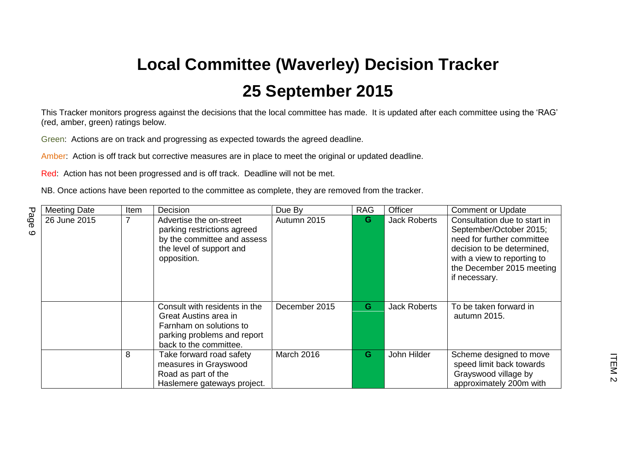## **Local Committee (Waverley) Decision Tracker 25 September 2015**

This Tracker monitors progress against the decisions that the local committee has made. It is updated after each committee using the 'RAG' (red, amber, green) ratings below.

Green: Actions are on track and progressing as expected towards the agreed deadline.

Amber: Action is off track but corrective measures are in place to meet the original or updated deadline.

Red: Action has not been progressed and is off track. Deadline will not be met.

NB. Once actions have been reported to the committee as complete, they are removed from the tracker.

|                 | <b>Meeting Date</b> | Item | Decision                                                                                                                                   | Due By        | <b>RAG</b> | Officer             | <b>Comment or Update</b>                                                                                                                                                                         |
|-----------------|---------------------|------|--------------------------------------------------------------------------------------------------------------------------------------------|---------------|------------|---------------------|--------------------------------------------------------------------------------------------------------------------------------------------------------------------------------------------------|
| Page<br>$\circ$ | 26 June 2015        |      | Advertise the on-street<br>parking restrictions agreed<br>by the committee and assess<br>the level of support and<br>opposition.           | Autumn 2015   | G          | <b>Jack Roberts</b> | Consultation due to start in<br>September/October 2015;<br>need for further committee<br>decision to be determined,<br>with a view to reporting to<br>the December 2015 meeting<br>if necessary. |
|                 |                     |      | Consult with residents in the<br>Great Austins area in<br>Farnham on solutions to<br>parking problems and report<br>back to the committee. | December 2015 | G          | <b>Jack Roberts</b> | To be taken forward in<br>autumn 2015.                                                                                                                                                           |
|                 |                     | 8    | Take forward road safety<br>measures in Grayswood<br>Road as part of the<br>Haslemere gateways project.                                    | March 2016    | G          | John Hilder         | Scheme designed to move<br>speed limit back towards<br>Grayswood village by<br>approximately 200m with                                                                                           |